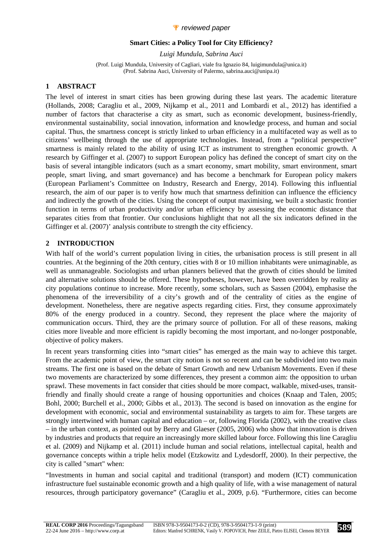## *P* reviewed paper

#### **Smart Cities: a Policy Tool for City Efficiency?**

*Luigi Mundula, Sabrina Auci* 

(Prof. Luigi Mundula, University of Cagliari, viale fra Ignazio 84, luigimundula@unica.it) (Prof. Sabrina Auci, University of Palermo, sabrina.auci@unipa.it)

## **1 ABSTRACT**

The level of interest in smart cities has been growing during these last years. The academic literature (Hollands, 2008; Caragliu et al., 2009, Nijkamp et al., 2011 and Lombardi et al., 2012) has identified a number of factors that characterise a city as smart, such as economic development, business-friendly, environmental sustainability, social innovation, information and knowledge process, and human and social capital. Thus, the smartness concept is strictly linked to urban efficiency in a multifaceted way as well as to citizens' wellbeing through the use of appropriate technologies. Instead, from a "political perspective" smartness is mainly related to the ability of using ICT as instrument to strengthen economic growth. A research by Giffinger et al. (2007) to support European policy has defined the concept of smart city on the basis of several intangible indicators (such as a smart economy, smart mobility, smart environment, smart people, smart living, and smart governance) and has become a benchmark for European policy makers (European Parliament's Committee on Industry, Research and Energy, 2014). Following this influential research, the aim of our paper is to verify how much that smartness definition can influence the efficiency and indirectly the growth of the cities. Using the concept of output maximising, we built a stochastic frontier function in terms of urban productivity and/or urban efficiency by assessing the economic distance that separates cities from that frontier. Our conclusions highlight that not all the six indicators defined in the Giffinger et al. (2007)' analysis contribute to strength the city efficiency.

## **2 INTRODUCTION**

With half of the world's current population living in cities, the urbanisation process is still present in all countries. At the beginning of the 20th century, cities with 8 or 10 million inhabitants were unimaginable, as well as unmanageable. Sociologists and urban planners believed that the growth of cities should be limited and alternative solutions should be offered. These hypotheses, however, have been overridden by reality as city populations continue to increase. More recently, some scholars, such as Sassen (2004), emphasise the phenomena of the irreversibility of a city's growth and of the centrality of cities as the engine of development. Nonetheless, there are negative aspects regarding cities. First, they consume approximately 80% of the energy produced in a country. Second, they represent the place where the majority of communication occurs. Third, they are the primary source of pollution. For all of these reasons, making cities more liveable and more efficient is rapidly becoming the most important, and no-longer postponable, objective of policy makers.

In recent years transforming cities into "smart cities" has emerged as the main way to achieve this target. From the academic point of view, the smart city notion is not so recent and can be subdivided into two main streams. The first one is based on the debate of Smart Growth and new Urbanism Movements. Even if these two movements are characterized by some differences, they present a common aim: the opposition to urban sprawl. These movements in fact consider that cities should be more compact, walkable, mixed-uses, transitfriendly and finally should create a range of housing opportunities and choices (Knaap and Talen, 2005; Bohl, 2000; Burchell et al., 2000; Gibbs et al., 2013). The second is based on innovation as the engine for development with economic, social and environmental sustainability as targets to aim for. These targets are strongly intertwined with human capital and education – or, following Florida (2002), with the creative class – in the urban context, as pointed out by Berry and Glaeser (2005, 2006) who show that innovation is driven by industries and products that require an increasingly more skilled labour force. Following this line Caragliu et al. (2009) and Nijkamp et al. (2011) include human and social relations, intellectual capital, health and governance concepts within a triple helix model (Etzkowitz and Lydesdorff, 2000). In their perpective, the city is called "smart" when:

"Investments in human and social capital and traditional (transport) and modern (ICT) communication infrastructure fuel sustainable economic growth and a high quality of life, with a wise management of natural resources, through participatory governance" (Caragliu et al., 2009, p.6). "Furthermore, cities can become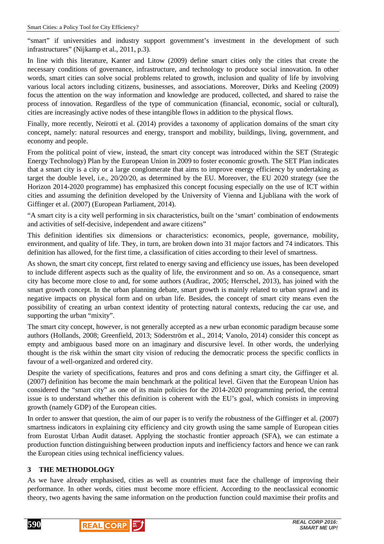"smart" if universities and industry support government's investment in the development of such infrastructures" (Nijkamp et al., 2011, p.3).

In line with this literature, Kanter and Litow (2009) define smart cities only the cities that create the necessary conditions of governance, infrastructure, and technology to produce social innovation. In other words, smart cities can solve social problems related to growth, inclusion and quality of life by involving various local actors including citizens, businesses, and associations. Moreover, Dirks and Keeling (2009) focus the attention on the way information and knowledge are produced, collected, and shared to raise the process of innovation. Regardless of the type of communication (financial, economic, social or cultural), cities are increasingly active nodes of these intangible flows in addition to the physical flows.

Finally, more recently, Neirotti et al. (2014) provides a taxonomy of application domains of the smart city concept, namely: natural resources and energy, transport and mobility, buildings, living, government, and economy and people.

From the political point of view, instead, the smart city concept was introduced within the SET (Strategic Energy Technology) Plan by the European Union in 2009 to foster economic growth. The SET Plan indicates that a smart city is a city or a large conglomerate that aims to improve energy efficiency by undertaking as target the double level, i.e., 20/20/20, as determined by the EU. Moreover, the EU 2020 strategy (see the Horizon 2014-2020 programme) has emphasized this concept focusing especially on the use of ICT within cities and assuming the definition developed by the University of Vienna and Ljubliana with the work of Giffinger et al. (2007) (European Parliament, 2014).

"A smart city is a city well performing in six characteristics, built on the 'smart' combination of endowments and activities of self-decisive, independent and aware citizens"

This definition identifies six dimensions or characteristics: economics, people, governance, mobility, environment, and quality of life. They, in turn, are broken down into 31 major factors and 74 indicators. This definition has allowed, for the first time, a classification of cities according to their level of smartness.

As shown, the smart city concept, first related to energy saving and efficiency use issues, has been developed to include different aspects such as the quality of life, the environment and so on. As a consequence, smart city has become more close to and, for some authors (Audirac, 2005; Herrschel, 2013), has joined with the smart growth concept. In the urban planning debate, smart growth is mainly related to urban sprawl and its negative impacts on physical form and on urban life. Besides, the concept of smart city means even the possibility of creating an urban context identity of protecting natural contexts, reducing the car use, and supporting the urban "mixity".

The smart city concept, however, is not generally accepted as a new urban economic paradigm because some authors (Hollands, 2008; Greenfield, 2013; Söderström et al., 2014; Vanolo, 2014) consider this concept as empty and ambiguous based more on an imaginary and discursive level. In other words, the underlying thought is the risk within the smart city vision of reducing the democratic process the specific conflicts in favour of a well-organized and ordered city.

Despite the variety of specifications, features and pros and cons defining a smart city, the Giffinger et al. (2007) definition has become the main benchmark at the political level. Given that the European Union has considered the "smart city" as one of its main policies for the 2014-2020 programming period, the central issue is to understand whether this definition is coherent with the EU's goal, which consists in improving growth (namely GDP) of the European cities.

In order to answer that question, the aim of our paper is to verify the robustness of the Giffinger et al. (2007) smartness indicators in explaining city efficiency and city growth using the same sample of European cities from Eurostat Urban Audit dataset. Applying the stochastic frontier approach (SFA), we can estimate a production function distinguishing between production inputs and inefficiency factors and hence we can rank the European cities using technical inefficiency values.

## **3 THE METHODOLOGY**

As we have already emphasised, cities as well as countries must face the challenge of improving their performance. In other words, cities must become more efficient. According to the neoclassical economic theory, two agents having the same information on the production function could maximise their profits and



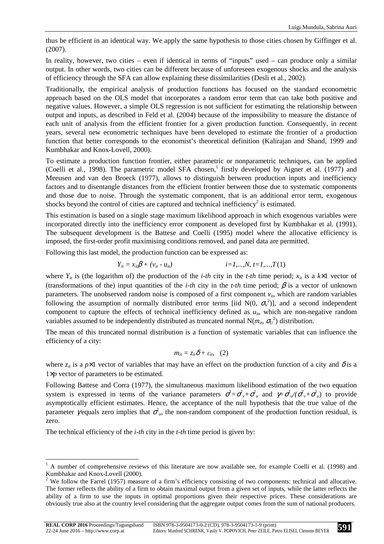thus be efficient in an identical way. We apply the same hypothesis to those cities chosen by Giffinger et al. (2007).

In reality, however, two cities – even if identical in terms of "inputs" used – can produce only a similar output. In other words, two cities can be different because of unforeseen exogenous shocks and the analysis of efficiency through the SFA can allow explaining these dissimilarities (Desli et al., 2002).

Traditionally, the empirical analysis of production functions has focused on the standard econometric approach based on the OLS model that incorporates a random error term that can take both positive and negative values. However, a simple OLS regression is not sufficient for estimating the relationship between output and inputs, as described in Feld et al. (2004) because of the impossibility to measure the distance of each unit of analysis from the efficient frontier for a given production function. Consequently, in recent years, several new econometric techniques have been developed to estimate the frontier of a production function that better corresponds to the economist's theoretical definition (Kalirajan and Shand, 1999 and Kumbhakar and Knox-Lovell, 2000).

To estimate a production function frontier, either parametric or nonparametric techniques, can be applied (Coelli et al., 1998). The parametric model SFA chosen,<sup>1</sup> firstly developed by Aigner et al. (1977) and Meeusen and van den Broeck (1977), allows to distinguish between production inputs and inefficiency factors and to disentangle distances from the efficient frontier between those due to systematic components and those due to noise. Through the systematic component, that is an additional error term, exogenous shocks beyond the control of cities are captured and technical inefficiency<sup>2</sup> is estimated.

This estimation is based on a single stage maximum likelihood approach in which exogenous variables were incorporated directly into the inefficiency error component as developed first by Kumbhakar et al. (1991). The subsequent development is the Battese and Coelli (1995) model where the allocative efficiency is imposed, the first-order profit maximising conditions removed, and panel data are permitted.

Following this last model, the production function can be expressed as:

$$
Y_{it} = x_{it} \beta + (v_{it} - u_{it}) \qquad i = 1,...,N, t = 1,...,T(1)
$$

where  $Y_i$  is (the logarithm of) the production of the *i-th* city in the *t-th* time period;  $x_i$  is a  $k \times 1$  vector of (transformations of the) input quantities of the *i-th* city in the *t-th* time period;  $\beta$  is a vector of unknown parameters. The unobserved random noise is composed of a first component  $v_i$ , which are random variables following the assumption of normally distributed error terms [iid  $N(0, \sigma_v^2)$ ], and a second independent component to capture the effects of technical inefficiency defined as  $u_i$ , which are non-negative random variables assumed to be independently distributed as truncated normal  $N(m_i, \sigma_U^2)$  distribution.

The mean of this truncated normal distribution is a function of systematic variables that can influence the efficiency of a city:

$$
m_{it}=z_{it}\delta+\varepsilon_{it},\quad (2)
$$

where  $z_i$  is a  $p \times 1$  vector of variables that may have an effect on the production function of a city and  $\delta$  is a 1×*p* vector of parameters to be estimated.

Following Battese and Corra (1977), the simultaneous maximum likelihood estimation of the two equation system is expressed in terms of the variance parameters  $\sigma^2 = \sigma_v^2 + \sigma_u^2$  and  $\gamma = \sigma_u^2/(\sigma_v^2 + \sigma_u^2)$  to provide asymptotically efficient estimates. Hence, the acceptance of the null hypothesis that the true value of the parameter *y* equals zero implies that  $\sigma^2$ , the non-random component of the production function residual, is zero.

The technical efficiency of the *i-th* city in the *t-th* time period is given by:

<sup>&</sup>lt;sup>1</sup> A number of comprehensive reviews of this literature are now available see, for example Coelli et al. (1998) and Kumbhakar and Knox-Lovell (2000).

<sup>&</sup>lt;sup>2</sup> We follow the Farrel (1957) measure of a firm's efficiency consisting of two components: technical and allocative. The former reflects the ability of a firm to obtain maximal output from a given set of inputs, while the latter reflects the ability of a firm to use the inputs in optimal proportions given their respective prices. These considerations are obviously true also at the country level considering that the aggregate output comes from the sum of national producers.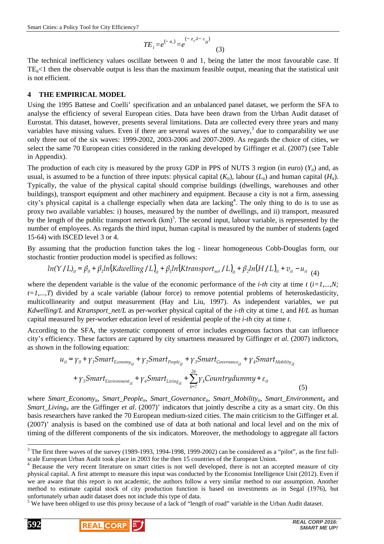$$
TE_i = e^{(-u_i)} = e^{(-z_i \delta - \varepsilon_{it})}
$$
\n(3)

The technical inefficiency values oscillate between 0 and 1, being the latter the most favourable case. If  $TE_{it}$ <1 then the observable output is less than the maximum feasible output, meaning that the statistical unit is not efficient.

#### **4 THE EMPIRICAL MODEL**

Using the 1995 Battese and Coelli' specification and an unbalanced panel dataset, we perform the SFA to analyse the efficiency of several European cities. Data have been drawn from the Urban Audit dataset of Eurostat. This dataset, however, presents several limitations. Data are collected every three years and many variables have missing values. Even if there are several waves of the survey,<sup>3</sup> due to comparability we use only three out of the six waves: 1999-2002, 2003-2006 and 2007-2009. As regards the choice of cities, we select the same 70 European cities considered in the ranking developed by Giffinger et al. (2007) (see Table in Appendix).

The production of each city is measured by the proxy GDP in PPS of NUTS 3 region (in euro)  $(Y_{ii})$  and, as usual, is assumed to be a function of three inputs: physical capital  $(K_{ii})$ , labour  $(L_{ii})$  and human capital  $(H_{ii})$ . Typically, the value of the physical capital should comprise buildings (dwellings, warehouses and other buildings), transport equipment and other machinery and equipment. Because a city is not a firm, assessing city's physical capital is a challenge especially when data are lacking<sup>4</sup>. The only thing to do is to use as proxy two available variables: i) houses, measured by the number of dwellings, and ii) transport, measured by the length of the public transport network  $(km)^5$ . The second input, labour variable, is represented by the number of employees. As regards the third input, human capital is measured by the number of students (aged 15-64) with ISCED level 3 or 4.

By assuming that the production function takes the log - linear homogeneous Cobb-Douglas form, our stochastic frontier production model is specified as follows:

$$
ln(Y/L)_{it} = \beta_0 + \beta_1 ln(Kdwelling/L)_{it} + \beta_1 ln(Ktransport_{net}/L)_{it} + \beta_2 ln(H/L)_{it} + v_{it} - u_{it} \tag{4}
$$

where the dependent variable is the value of the economic performance of the *i-th* city at time  $t$  ( $i=1,...,N$ ;  $t=1,...,T$ ) divided by a scale variable (labour force) to remove potential problems of heteroskedasticity, multicollinearity and output measurement (Hay and Liu, 1997). As independent variables, we put *Kdwelling/L* and *Ktransport\_net/L* as per-worker physical capital of the *i-th* city at time *t*, and *H/L* as human capital measured by per-worker education level of residential people of the *i-th* city at time *t*.

According to the SFA, the systematic component of error includes exogenous factors that can influence city's efficiency. These factors are captured by city smartness measured by Giffinger *et al.* (2007) indictors, as shown in the following equation:

$$
u_{it} = \gamma_0 + \gamma_1 Smart_{Economy_{it}} + \gamma_2 Smart_{People_{it}} + \gamma_3 Smart_{Govername_{it}} + \gamma_4 Smart_{Mobility_{it}} + \gamma_5 Smart_{E\nrightarrow rorm} + \gamma_5 Smart_{E\nrightarrow rorment_{it}} + \gamma_6 Smart_{Living_{it}} + \sum_{k=7}^{26} \gamma_k Countrydummy + \varepsilon_{it}
$$
\n(5)

where *Smart\_Economy<sub>it</sub>*, *Smart\_People*<sub>it</sub>, *Smart\_Governance*<sub>it</sub>, *Smart\_Mobility*<sub>it</sub>, *Smart\_Environment*<sub>it</sub> and *Smart\_Living<sub>it</sub>* are the Giffinger *et al.* (2007)' indicators that jointly describe a city as a smart city. On this basis researchers have ranked the 70 European medium-sized cities. The main criticism to the Giffinger et al. (2007)' analysis is based on the combined use of data at both national and local level and on the mix of timing of the different components of the six indicators. Moreover, the methodology to aggregate all factors

<sup>5</sup> We have been obliged to use this proxy because of a lack of "length of road" variable in the Urban Audit dataset.





 $\overline{a}$ 

 $3$  The first three waves of the survey (1989-1993, 1994-1998, 1999-2002) can be considered as a "pilot", as the first fullscale European Urban Audit took place in 2003 for the then 15 countries of the European Union.

<sup>&</sup>lt;sup>4</sup> Because the very recent literature on smart cities is not well developed, there is not an accepted measure of city physical capital. A first attempt to measure this input was conducted by the Economist Intelligence Unit (2012). Even if we are aware that this report is not academic, the authors follow a very similar method to our assumption. Another method to estimate capital stock of city production function is based on investments as in Segal (1976), but unfortunately urban audit dataset does not include this type of data.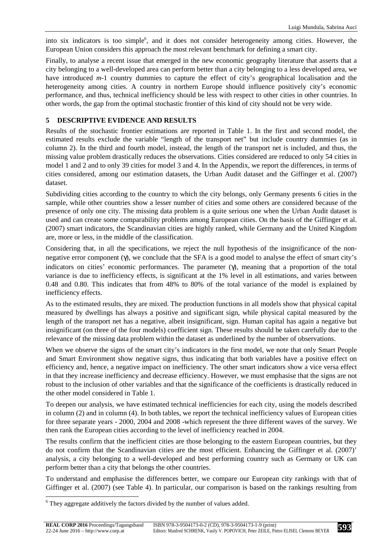into six indicators is too simple<sup>6</sup>, and it does not consider heterogeneity among cities. However, the European Union considers this approach the most relevant benchmark for defining a smart city.

Finally, to analyse a recent issue that emerged in the new economic geography literature that asserts that a city belonging to a well-developed area can perform better than a city belonging to a less developed area, we have introduced *m*-1 country dummies to capture the effect of city's geographical localisation and the heterogeneity among cities. A country in northern Europe should influence positively city's economic performance, and thus, technical inefficiency should be less with respect to other cities in other countries. In other words, the gap from the optimal stochastic frontier of this kind of city should not be very wide.

# **5 DESCRIPTIVE EVIDENCE AND RESULTS**

Results of the stochastic frontier estimations are reported in Table 1. In the first and second model, the estimated results exclude the variable "length of the transport net" but include country dummies (as in column 2). In the third and fourth model, instead, the length of the transport net is included, and thus, the missing value problem drastically reduces the observations. Cities considered are reduced to only 54 cities in model 1 and 2 and to only 39 cities for model 3 and 4. In the Appendix, we report the differences, in terms of cities considered, among our estimation datasets, the Urban Audit dataset and the Giffinger et al. (2007) dataset.

Subdividing cities according to the country to which the city belongs, only Germany presents 6 cities in the sample, while other countries show a lesser number of cities and some others are considered because of the presence of only one city. The missing data problem is a quite serious one when the Urban Audit dataset is used and can create some comparability problems among European cities. On the basis of the Giffinger et al. (2007) smart indicators, the Scandinavian cities are highly ranked, while Germany and the United Kingdom are, more or less, in the middle of the classification.

Considering that, in all the specifications, we reject the null hypothesis of the insignificance of the nonnegative error component (γ), we conclude that the SFA is a good model to analyse the effect of smart city's indicators on cities' economic performances. The parameter (γ), meaning that a proportion of the total variance is due to inefficiency effects, is significant at the 1% level in all estimations, and varies between 0.48 and 0.80. This indicates that from 48% to 80% of the total variance of the model is explained by inefficiency effects.

As to the estimated results, they are mixed. The production functions in all models show that physical capital measured by dwellings has always a positive and significant sign, while physical capital measured by the length of the transport net has a negative, albeit insignificant, sign. Human capital has again a negative but insignificant (on three of the four models) coefficient sign. These results should be taken carefully due to the relevance of the missing data problem within the dataset as underlined by the number of observations.

When we observe the signs of the smart city's indicators in the first model, we note that only Smart People and Smart Environment show negative signs, thus indicating that both variables have a positive effect on efficiency and, hence, a negative impact on inefficiency. The other smart indicators show a vice versa effect in that they increase inefficiency and decrease efficiency. However, we must emphasise that the signs are not robust to the inclusion of other variables and that the significance of the coefficients is drastically reduced in the other model considered in Table 1.

To deepen our analysis, we have estimated technical inefficiencies for each city, using the models described in column (2) and in column (4). In both tables, we report the technical inefficiency values of European cities for three separate years - 2000, 2004 and 2008 -which represent the three different waves of the survey. We then rank the European cities according to the level of inefficiency reached in 2004.

The results confirm that the inefficient cities are those belonging to the eastern European countries, but they do not confirm that the Scandinavian cities are the most efficient. Enhancing the Giffinger et al. (2007)' analysis, a city belonging to a well-developed and best performing country such as Germany or UK can perform better than a city that belongs the other countries.

To understand and emphasise the differences better, we compare our European city rankings with that of Giffinger et al. (2007) (see Table 4). In particular, our comparison is based on the rankings resulting from

 $\overline{a}$ 

 $6$  They aggregate additively the factors divided by the number of values added.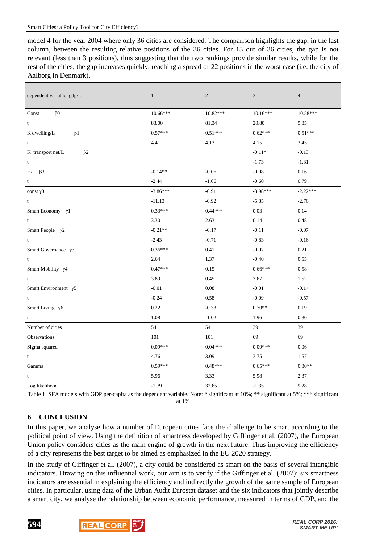model 4 for the year 2004 where only 36 cities are considered. The comparison highlights the gap, in the last column, between the resulting relative positions of the 36 cities. For 13 out of 36 cities, the gap is not relevant (less than 3 positions), thus suggesting that the two rankings provide similar results, while for the rest of the cities, the gap increases quickly, reaching a spread of 22 positions in the worst case (i.e. the city of Aalborg in Denmark).

| dependent variable: gdp/L      | $\mathbf{1}$ | $\mathbf{2}$ | 3          | $\overline{4}$ |
|--------------------------------|--------------|--------------|------------|----------------|
| $\beta$ 0<br>Const             | $10.66***$   | $10.82***$   | $10.16***$ | $10.58***$     |
| t                              | 83.00        | 81.34        | 20.80      | 9.85           |
| K dwelling/L<br>$\beta$ 1      | $0.57***$    | $0.51***$    | $0.62***$  | $0.51***$      |
| t                              | 4.41         | 4.13         | 4.15       | 3.45           |
| K_transport net/L<br>$\beta$ 2 |              |              | $-0.11*$   | $-0.13$        |
| t                              |              |              | $-1.73$    | $-1.31$        |
| $H/L$ $\beta$ 3                | $-0.14**$    | $-0.06$      | $-0.08$    | $0.16\,$       |
| t                              | $-2.44$      | $-1.06$      | $-0.60$    | 0.79           |
| const $\gamma$ 0               | $-3.86***$   | $-0.91$      | $-3.98***$ | $-2.22***$     |
| t                              | $-11.13$     | $-0.92$      | $-5.85$    | $-2.76$        |
| Smart Economy $\gamma$ 1       | $0.33***$    | $0.44***$    | 0.03       | 0.14           |
| t                              | 3.30         | 2.63         | 0.14       | 0.48           |
| Smart People $\gamma$ 2        | $-0.21**$    | $-0.17$      | $-0.11$    | $-0.07$        |
| t                              | $-2.43$      | $-0.71$      | $-0.83$    | $-0.16$        |
| Smart Governance $\gamma$ 3    | $0.36***$    | 0.41         | $-0.07$    | 0.21           |
| $\mathbf t$                    | 2.64         | 1.37         | $-0.40$    | 0.55           |
| Smart Mobility $\gamma$ 4      | $0.47***$    | 0.15         | $0.66***$  | 0.58           |
| t                              | 3.89         | 0.45         | 3.67       | 1.52           |
| Smart Environment $\gamma$ 5   | $-0.01$      | 0.08         | $-0.01$    | $-0.14$        |
| $\mathbf t$                    | $-0.24$      | 0.58         | $-0.09$    | $-0.57$        |
| Smart Living $\gamma$ 6        | 0.22         | $-0.33$      | $0.70**$   | 0.19           |
| t                              | 1.08         | $-1.02$      | 1.96       | 0.30           |
| Number of cities               | 54           | 54           | 39         | 39             |
| Observations                   | 101          | 101          | 69         | 69             |
| Sigma squared                  | $0.09***$    | $0.04***$    | $0.09***$  | 0.06           |
| $\mathbf t$                    | 4.76         | 3.09         | 3.75       | 1.57           |
| Gamma                          | $0.59***$    | $0.48***$    | $0.65***$  | $0.80**$       |
| t                              | 5.96         | 3.33         | 5.98       | 2.37           |
| Log likelihood                 | $-1.79$      | 32.65        | $-1.35$    | 9.28           |

Table 1: SFA models with GDP per-capita as the dependent variable. Note: \* significant at 10%; \*\* significant at 5%; \*\*\* significant at 1%

# **6 CONCLUSION**

In this paper, we analyse how a number of European cities face the challenge to be smart according to the political point of view. Using the definition of smartness developed by Giffinger et al. (2007), the European Union policy considers cities as the main engine of growth in the next future. Thus improving the efficiency of a city represents the best target to be aimed as emphasized in the EU 2020 strategy.

In the study of Giffinger et al. (2007), a city could be considered as smart on the basis of several intangible indicators. Drawing on this influential work, our aim is to verify if the Giffinger et al. (2007)' six smartness indicators are essential in explaining the efficiency and indirectly the growth of the same sample of European cities. In particular, using data of the Urban Audit Eurostat dataset and the six indicators that jointly describe a smart city, we analyse the relationship between economic performance, measured in terms of GDP, and the



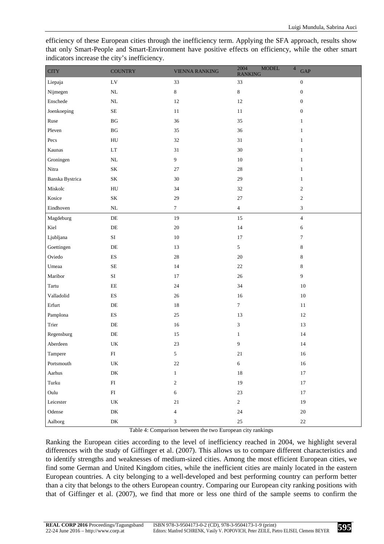efficiency of these European cities through the inefficiency term. Applying the SFA approach, results show that only Smart-People and Smart-Environment have positive effects on efficiency, while the other smart indicators increase the city's inefficiency.

| $\operatorname{CITY}$ | <b>COUNTRY</b>                  | <b>VIENNA RANKING</b> | <b>MODEL</b><br>2004<br>$\sqrt{4}$<br><b>RANKING</b> | <b>GAP</b>                  |
|-----------------------|---------------------------------|-----------------------|------------------------------------------------------|-----------------------------|
| Liepaja               | $\ensuremath{\text{LV}}$        | 33                    | 33                                                   | $\boldsymbol{0}$            |
| Nijmegen              | $\rm NL$                        | $\,8\,$               | $\,8\,$                                              | $\boldsymbol{0}$            |
| Enschede              | $\rm NL$                        | $12\,$                | $12\,$                                               | $\boldsymbol{0}$            |
| Joenkoeping           | $\rm SE$                        | $11\,$                | 11                                                   | $\boldsymbol{0}$            |
| Ruse                  | $\mathbf{B}\mathbf{G}$          | 36                    | 35                                                   | $\mathbf{1}$                |
| Pleven                | $\mathbf{B}\mathbf{G}$          | 35                    | 36                                                   | $\mathbf{1}$                |
| $\mbox{P}\mbox{ecs}$  | ${\rm H}{\rm U}$                | 32                    | $31\,$                                               | $\mathbf{1}$                |
| Kaunas                | $\mathop{\rm LT}\nolimits$      | $31\,$                | $30\,$                                               | $\mathbf{1}$                |
| Groningen             | $\rm NL$                        | $\boldsymbol{9}$      | $10\,$                                               | $\mathbf{1}$                |
| Nitra                 | $\rm SK$                        | $27\,$                | $28\,$                                               | $\mathbf{1}$                |
| Banska Bystrica       | $\rm SK$                        | $30\,$                | 29                                                   | $\mathbf{1}$                |
| Miskolc               | ${\rm H}{\rm U}$                | 34                    | 32                                                   | $\sqrt{2}$                  |
| Kosice                | $\rm SK$                        | 29                    | $27\,$                                               | $\sqrt{2}$                  |
| Eindhoven             | $\rm NL$                        | $\boldsymbol{7}$      | $\overline{4}$                                       | $\ensuremath{\mathfrak{Z}}$ |
| Magdeburg             | $\rm DE$                        | 19                    | 15                                                   | $\sqrt{4}$                  |
| Kiel                  | $\rm DE$                        | $20\,$                | 14                                                   | 6                           |
| Ljubljana             | $\rm SI$                        | $10\,$                | $17\,$                                               | $\boldsymbol{7}$            |
| Goettingen            | $\rm DE$                        | 13                    | $\mathfrak{S}$                                       | $\,8\,$                     |
| Oviedo                | $\mathop{\hbox{\rm ES}}$        | $28\,$                | $20\,$                                               | $\,8\,$                     |
| Umeaa                 | $\rm SE$                        | $14$                  | $22\,$                                               | $\,8\,$                     |
| Maribor               | $\rm SI$                        | 17                    | $26\,$                                               | 9                           |
| Tartu                 | $\rm EE$                        | 24                    | 34                                                   | $10\,$                      |
| Valladolid            | $\mathop{\hbox{\rm ES}}$        | $26\,$                | 16                                                   | $10\,$                      |
| Erfurt                | $\rm DE$                        | $18\,$                | $7\phantom{.0}$                                      | $11\,$                      |
| Pamplona              | $\mathop{\hbox{\rm ES}}$        | $25\,$                | 13                                                   | $12\,$                      |
| Trier                 | $\rm DE$                        | $16\,$                | $\mathfrak{Z}$                                       | 13                          |
| Regensburg            | $\rm DE$                        | 15                    | $\mathbf{1}$                                         | 14                          |
| $\rm Aberdeen$        | $\ensuremath{\text{UK}}\xspace$ | 23                    | 9                                                    | 14                          |
| Tampere               | ${\rm FI}$                      | 5 <sub>1</sub>        | $21\,$                                               | 16                          |
| Portsmouth            | $\ensuremath{\text{UK}}\xspace$ | $22\,$                | $\sqrt{6}$                                           | $16\,$                      |
| Aarhus                | ${\rm DK}$                      | $\mathbf{1}$          | $18\,$                                               | $17\,$                      |
| Turku                 | ${\rm FI}$                      | $\sqrt{2}$            | 19                                                   | $17\,$                      |
| Oulu                  | ${\rm FI}$                      | 6                     | $23\,$                                               | $17\,$                      |
| Leicester             | UK                              | $21\,$                | $\sqrt{2}$                                           | $19\,$                      |
| Odense                | ${\rm DK}$                      | $\overline{4}$        | $24\,$                                               | $20\,$                      |
| Aalborg               | ${\rm DK}$                      | 3                     | $25\,$                                               | $22\,$                      |

Table 4: Comparison between the two European city rankings

Ranking the European cities according to the level of inefficiency reached in 2004, we highlight several differences with the study of Giffinger et al. (2007). This allows us to compare different characteristics and to identify strengths and weaknesses of medium-sized cities. Among the most efficient European cities, we find some German and United Kingdom cities, while the inefficient cities are mainly located in the eastern European countries. A city belonging to a well-developed and best performing country can perform better than a city that belongs to the others European country. Comparing our European city ranking positions with that of Giffinger et al. (2007), we find that more or less one third of the sample seems to confirm the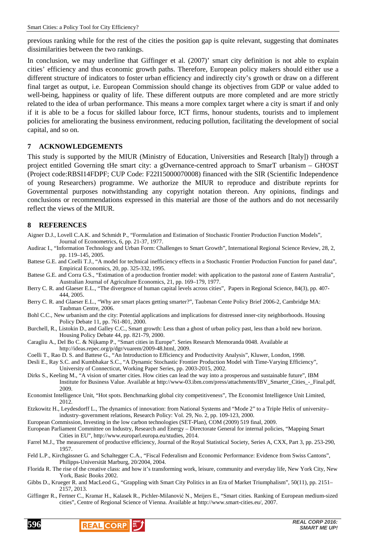previous ranking while for the rest of the cities the position gap is quite relevant, suggesting that dominates dissimilarities between the two rankings.

In conclusion, we may underline that Giffinger et al. (2007)' smart city definition is not able to explain cities' efficiency and thus economic growth paths. Therefore, European policy makers should either use a different structure of indicators to foster urban efficiency and indirectly city's growth or draw on a different final target as output, i.e. European Commission should change its objectives from GDP or value added to well-being, happiness or quality of life. These different outputs are more completed and are more strictly related to the idea of urban performance. This means a more complex target where a city is smart if and only if it is able to be a focus for skilled labour force, ICT firms, honour students, tourists and to implement policies for ameliorating the business environment, reducing pollution, facilitating the development of social capital, and so on.

## **7 ACKNOWLEDGEMENTS**

This study is supported by the MIUR (Ministry of Education, Universities and Research [Italy]) through a project entitled Governing tHe smart city: a gOvernance-centred approach to SmarT urbanism – GHOST (Project code:RBSI14FDPF; CUP Code: F22I15000070008) financed with the SIR (Scientific Independence of young Researchers) programme. We authorize the MIUR to reproduce and distribute reprints for Governmental purposes notwithstanding any copyright notation thereon. Any opinions, findings and conclusions or recommendations expressed in this material are those of the authors and do not necessarily reflect the views of the MIUR.

#### **8 REFERENCES**

- Aigner D.J., Lovell C.A.K. and Schmidt P., "Formulation and Estimation of Stochastic Frontier Production Function Models", Journal of Econometrics, 6, pp. 21-37, 1977.
- Audirac I., "Information Technology and Urban Form: Challenges to Smart Growth", International Regional Science Review, 28, 2, pp. 119–145, 2005.
- Battese G.E. and Coelli T.J., "A model for technical inefficiency effects in a Stochastic Frontier Production Function for panel data", Empirical Economics, 20, pp. 325-332, 1995.
- Battese G.E. and Corra G.S., "Estimation of a production frontier model: with application to the pastoral zone of Eastern Australia", Australian Journal of Agriculture Economics, 21, pp. 169–179, 1977.
- Berry C. R. and Glaeser E.L., "The divergence of human capital levels across cities", Papers in Regional Science, 84(3), pp. 407- 444, 2005.
- Berry C. R. and Glaeser E.L., "Why are smart places getting smarter?", Taubman Cente Policy Brief 2006-2, Cambridge MA: Taubman Centre, 2006.
- Bohl C.C., New urbanism and the city: Potential applications and implications for distressed inner-city neighborhoods. Housing Policy Debate 11, pp. 761-801, 2000.
- Burchell, R., Listokin D., and Galley C.C., Smart growth: Less than a ghost of urban policy past, less than a bold new horizon. Housing Policy Debate 44, pp. 821-79, 2000.
- Caragliu A., Del Bo C. & Nijkamp P., "Smart cities in Europe". Series Research Memoranda 0048. Available at http://ideas.repec.org/p/dgr/vuarem/2009-48.html, 2009.
- Coelli T., Rao D. S. and Battese G., "An Introduction to Efficiency and Productivity Analysis", Kluwer, London, 1998.
- Desli E., Ray S.C. and Kumbhakar S.C., "A Dynamic Stochastic Frontier Production Model with Time-Varying Efficiency", University of Connecticut, Working Paper Series, pp. 2003-2015, 2002.
- Dirks S., Keeling M., "A vision of smarter cities. How cities can lead the way into a prosperous and sustainable future", IBM Institute for Business Value. Available at http://www-03.ibm.com/press/attachments/IBV\_Smarter\_Cities\_-\_Final.pdf, 2009.
- Economist Intelligence Unit, "Hot spots. Benchmarking global city competitiveness", The Economist Intelligence Unit Limited, 2012.
- Etzkowitz H., Leydesdorff L., The dynamics of innovation: from National Systems and "Mode 2" to a Triple Helix of university– industry–government relations, Research Policy: Vol. 29, No. 2, pp. 109-123, 2000.
- European Commission, Investing in the low carbon technologies (SET-Plan), COM (2009) 519 final, 2009.
- European Parliament Committee on Industry, Research and Energy Directorate General for internal policies, "Mapping Smart Cities in EU", http://www.europarl.europa.eu/studies, 2014.
- Farrel M.J., The measurement of productive efficiency, Journal of the Royal Statistical Society, Series A, CXX, Part 3, pp. 253-290, 1957.
- Feld L.P., Kirchgässner G. and Schaltegger C.A., "Fiscal Federalism and Economic Performance: Evidence from Swiss Cantons", Philipps-Universität Marburg, 20/2004, 2004.
- Florida R. The rise of the creative class: and how it's transforming work, leisure, community and everyday life, New York City, New York, Basic Books 2002.
- Gibbs D., Krueger R. and MacLeod G., "Grappling with Smart City Politics in an Era of Market Triumphalism", 50(11), pp. 2151– 2157, 2013.
- Giffinger R., Fertner C., Kramar H., Kalasek R., Pichler-Milanović N., Meijers E., "Smart cities. Ranking of European medium-sized cities", Centre of Regional Science of Vienna. Available at http://www.smart-cities.eu/, 2007.